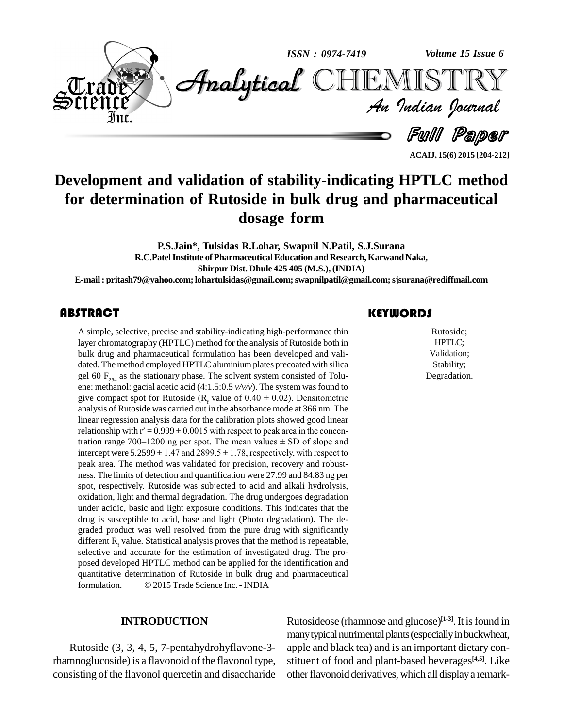

**ACAIJ, 15(6) 2015 [204-212]**

# **Development and validation of stability-indicating HPTLC method for determination of Rutoside in bulk drug and pharmaceutical dosage form**

**P.S.Jain\*, Tulsidas R.Lohar, Swapnil N.Patil, S.J.Surana R.C.PatelInstitute ofPharmaceuticalEducation andResearch,KarwandNaka, Shirpur Dist. Dhule 425 405 (M.S.), (INDIA) E-mail: [pritash79@yahoo.com;lohartul](mailto:pritash79@yahoo.com;)[sidas@gmail.com;swapnilpa](mailto:lohartulsidas@gmail.com;)[til@gmail.com;sjsurana](mailto:swapnilpatil@gmail.com;)[@rediffmail.com](mailto:sjsurana@rediffmail.com)**

A simple, selective, prec<br>layer chromatography (H<br>bulk drug and pharmace A simple, selective, precise and stability-indicating high-performance thin layer chromatography (HPTLC) method for the analysis of Rutoside both in bulk drug and pharmaceutical formulation has been developed and vali dated. The method employed HPTLC aluminium plates precoated with silica gel 60  $F_{254}$  as the stationary phase. The solvent system consisted of Tolu-<br>ene: methanol: gacial acetic acid (4:1.5:0.5  $v/v/v$ ). The system was found to<br>give compact spot for Rutoside (R<sub>f</sub> value of 0.40  $\pm$  0.02). De analysis of Rutoside was carried out in the absorbance mode at 366 nm. The linear regression analysis data for the calibration plots showed good linear relationship with  $r^2 = 0.999 \pm 0.0015$  with respect to peak area in linear regression analysis data for the calibration plots showed good linear<br>relationship with  $r^2 = 0.999 \pm 0.0015$  with respect to peak area in the concen-<br>tration range 700–1200 ng per spot. The mean values  $\pm$  SD of relationship with  $r^2 = 0.999 \pm 0.0015$  with respect to peak area in the concentration range 700–1200 ng per spot. The mean values  $\pm$  SD of slope and intercept were 5.2599  $\pm$  1.47 and 2899.5  $\pm$  1.78, respectively, with respect to peak area. The method was validated for precision, recovery and robust ness. The limits of detection and quantification were 27.99 and 84.83 ng per spot, respectively. Rutoside was subjected to acid and alkali hydrolysis, oxidation, light and thermal degradation. The drug undergoes degradation under acidic, basic and light exposure conditions. This indicates that the drug is susceptible to acid, base and light (Photo degradation). The de graded product was well resolved from the pure drug with significantly different  $R_f$  value. Statistical analysis proves that the method is repeatable, selective and accurate for the estimation of investigated drug. The proposed developed HPTLC method can be applied for the identification and<br>quantitative determination of Rutoside in bulk drug and pharmaceutical<br>formulation. © 2015 Trade Science Inc. - INDIA quantitative determination of Rutoside in bulk drug and pharmaceutical

#### **INTRODUCTION**

Rutoside (3,3, 4, 5, 7-pentahydrohyflavone-3 rhamnoglucoside) is a flavonoid of the flavonol type, consisting of the flavonol quercetin and disaccharide

# **KEYWORDS**

Rutoside;<br>
HPTLC;<br>
Validation; Rutoside; HPTLC; Validation; Stability; Degradation.

Rutosideose (rhamnose and glucose) **[1-3]**.It isfound in many typical nutrimental plants (especially in buckwheat, apple and black tea) and is an important dietary con stituent of food and plant-based beverages **[4,5]**. Like other flavonoid derivatives, which all display a remark-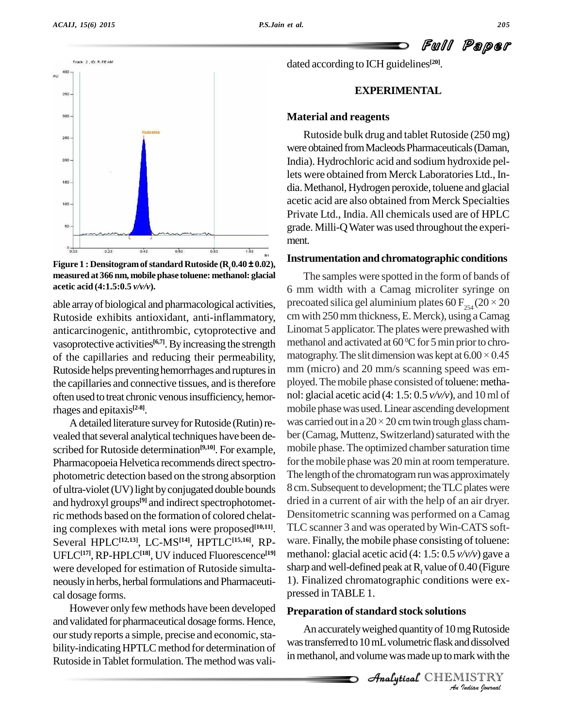

Track 2, ID: R-TE AM 400 AU 350  $300<sup>1</sup>$ 260  $200 -$ 160 100 60

Figure 1 : Densitogram of standard Rutoside  $(R_f 0.40 \pm 0.02)$ ,<br>measured at 366 nm, mobile phase toluene: methanol: glacial **acetic acid (4:1.5:0.5** *v/v/v***).**

able arrayof biological and pharmacological activities, Rutoside exhibits antioxidant, anti-inflammatory, anticarcinogenic, antithrombic, cytoprotective and vasoprotective activities<sup>[6,7]</sup>. By increasing the strength methan of the capillaries and reducing their permeability, Rutoside helps preventing hemorrhages and ruptures in the capillaries and connective tissues, and is therefore often used to treat chronic venous insufficiency, hemorrhages and epitaxis **[2-8]**.

vealed that several analytical techniques have been described for Rutoside determination<sup>[9,10]</sup>. For example, m Pharmacopoeia Helvetica recommends direct spectrophotometric detection based on the strong absorption of ultra-violet (UV) light by conjugated double bounds and hydroxyl groups<sup>[9]</sup> and indirect spectrophotometric methods based on the formation of colored chelating complexes with metal ions were proposed **[10,11]**. Several HPLC**[12,13]**, LC-MS **[14]**, HPTLC**[15,16]**, RP- UFLC**[17]**, RP-HPLC**[18]**, UV induced Fluorescence **[19]** were developed for estimation of Rutoside simulta neously in herbs, herbal formulations and Pharmaceutical dosage forms.

However only fewmethods have been developed and validated for pharmaceutical dosage forms. Hence, our study reports a simple, precise and economic, stability-indicating HPTLC method for determination of Rutoside in Tablet formulation. The method was validated according to ICH guidelines **[20]**.

# **EXPERIMENTAL**

#### **Material and reagents**

Rutoside bulk drug and tablet Rutoside (250 mg) were obtained from Macleods Pharmaceuticals (Daman, India). Hydrochloric acid and sodium hydroxide pellets were obtained from Merck Laboratories Ltd., In dia.Methanol, Hydrogen peroxide, toluene and glacial acetic acid are also obtained from Merck Specialties Private Ltd., India.All chemicals used are of HPLC grade. Milli-QWater was used throughout the experi ment.

#### **Instrumentation and chromatographic conditions**

A detailed literature survey for Rutoside (Rutin) re- was carried out in a  $20 \times 20$  cm twin trough glass cham-The samples were spotted in the form of bands of 6 mm width with a Camag microliter syringe on precoated silica gel aluminium plates 60  $F_{254}$  (20  $\times$  20 cmwith 250mmthickness,E. Merck), using aCamag Linomat 5 applicator.The plates were prewashed with methanol and activated at  $60\,^{\circ}\text{C}$  for 5 min prior to chromatography. The slit dimension was kept at  $6.00 \times 0.45$ mm (micro) and 20 mm/s scanning speed was employed. The mobile phase consisted of toluene: methanol: glacial acetic acid (4: 1.5: 0.5 *v/v/v*), and 10ml of mobile phase was used. Linear ascending development nol: glacial acetic acid (4:  $1.5: 0.5 \nu/\nu/\nu$ ), and  $10 \text{ ml of}$ <br>mobile phase was used. Linear ascending development<br>was carried out in a  $20 \times 20$  cm twin trough glass chamber (Camag, Muttenz, Switzerland) saturated with the mobile phase. The optimized chamber saturation time for the mobile phase was 20 min at room temperature. The length of the chromatogram run was approximately 8 cm. Subsequent to development; the TLC plates were dried in a current of air with the help of an air dryer. Densitometric scanning was performed on a Camag TLC scanner 3 and was operated byWin-CATS soft ware. Finally, the mobile phase consisting of toluene: methanol: glacial acetic acid (4: 1.5: 0.5 *v/v/v*) gave a sharp and well-defined peak at  $R_f$  value of 0.40 (Figure 1). Finalized chromatographic conditions were ex pressed inTABLE 1.

# *An*Analytical**Preparation ofstandard stock solutions**

*Ing Rutoside*<br>*Indiansolved*<br>*IISTRY*<br>*Jadian Journal* An accurately weighed quantity of 10 mg Rutoside was transferred to 10 mL volumetric flask and dissolved in methanol, and volume was made up to mark with the

CHEMISTRY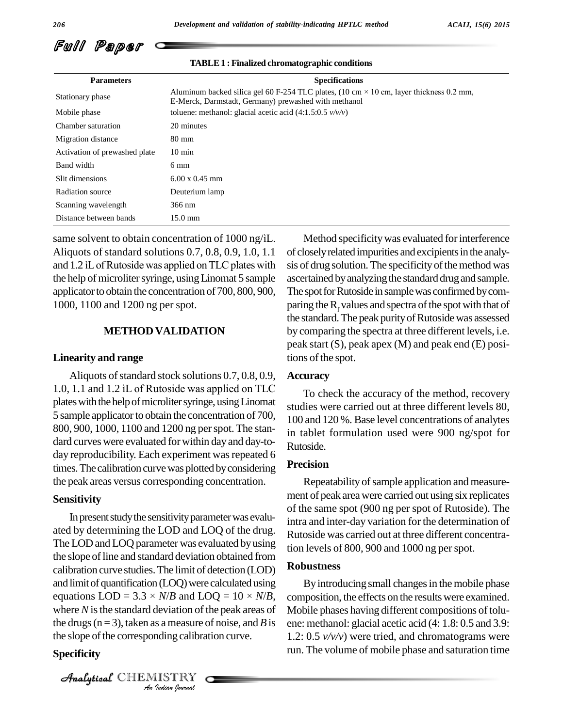

| <b>Parameters</b>             | <b>Specifications</b>                                                                                                                                  |  |  |  |
|-------------------------------|--------------------------------------------------------------------------------------------------------------------------------------------------------|--|--|--|
| Stationary phase              | Aluminum backed silica gel 60 F-254 TLC plates, (10 cm $\times$ 10 cm, layer thickness 0.2 mm,<br>E-Merck, Darmstadt, Germany) prewashed with methanol |  |  |  |
| Mobile phase                  | toluene: methanol: glacial acetic acid $(4:1.5:0.5 \nu/\nu/\nu)$                                                                                       |  |  |  |
| Chamber saturation            | 20 minutes                                                                                                                                             |  |  |  |
| Migration distance            | 80 mm                                                                                                                                                  |  |  |  |
| Activation of prewashed plate | $10 \text{ min}$                                                                                                                                       |  |  |  |
| Band width                    | $6 \text{ mm}$                                                                                                                                         |  |  |  |
| Slit dimensions               | $6.00 \times 0.45$ mm                                                                                                                                  |  |  |  |
| Radiation source              | Deuterium lamp                                                                                                                                         |  |  |  |
| Scanning wavelength           | 366 nm                                                                                                                                                 |  |  |  |
| Distance between bands        | $15.0 \text{ mm}$                                                                                                                                      |  |  |  |

#### **TABLE1 :Finalized chromatographic conditions**

same solvent to obtain concentration of 1000 ng/iL. Aliquots of standard solutions 0.7, 0.8, 0.9, 1.0, 1.1 of close same solvent to obtain concentration of 1000 ng/iL. Me<br>Aliquots of standard solutions 0.7, 0.8, 0.9, 1.0, 1.1 of close<br>and 1.2 iL of Rutoside was applied on TLC plates with sis of d the help of microliter syringe, using Linomat 5 sample applicator to obtain the concentration of 700, 800, 900, 1000, 1100 and 1200 ng per spot.

#### **METHOD VALIDATION**

#### **Linearity and range**

Aliquots of standard stock solutions  $0.7, 0.8, 0.9$ , 1.0, 1.1 and 1.2 ÏL of Rutoside was applied on TLC plates with the help of microliter syringe, using Linomat 5 sample applicator to obtain the concentration of 700, 800, 900, 1000, 1100 and 1200 ng perspot.The stan dard curves were evaluated for within day and day-today reproducibility. Each experiment was repeated 6 times. The calibration curve was plotted by considering the peak areas versus corresponding concentration.

#### **Sensitivity**

where  $N$  is the standard deviation of the peak areas of  $M_0$ <br>the decay  $(x-2)$  telescope areas of peak areas of  $N_0$ *I*eviation of the same of the same of the same of the same of the same of the same of the same of the same of the same of the same of the same of the same of the same of the same of the same of the same of the same of the In present study the sensitivity parameter was evaluated by determining the LOD and LOQ of the drug. The LOD and LOQ parameter was evaluated by using the slope of line and standard deviation obtained from calibration curve studies. The limit of detection (LOD) and limit of quantification (LOQ) were calculated using equations  $\text{LOD} = 3.3 \times N/B$  and  $\text{LOQ} = 10 \times N/B$ , con and limit of quantification (LOQ) were calculated using the drugs ( $n = 3$ ), taken as a measure of noise, and *B* is the slope of the corresponding calibration curve.

#### **Specificity**

CHEMISTRY

Method specificity was evaluated for interference of closely related impurities and excipients in the analysis of drug solution. The specificity of the method was ascertained by analyzing the standard drug and sample. The spot for Rutoside in sample was confirmed by comparing the  $R_f$  values and spectra of the spot with that of the standard. The peak purity of Rutoside was assessed by comparing the spectra at three different levels, i.e. peak start (S), peak apex (M) and peak end (E) positions of the spot.

# **Accuracy**

To check the accuracy of the method, recovery studies were carried out at three different levels 80, 100 and 120 %. Base level concentrations of analytes in tablet formulation used were 900 ng/spot for Rutoside.

#### **Precision**

Repeatability of sample application and measurement of peak area were carried out using six replicates of the same spot (900 ng per spot of Rutoside). The intra and inter-day variation for the determination of Rutoside was carried out at three different concentration levels of 800, 900 and 1000 ng perspot.

#### **Robustness**

By introducing small changes in the mobile phase composition, the effects on the resultswere examined. Mobile phases having different compositions of toluene: methanol: glacial acetic acid (4: 1.8: 0.5 and 3.9: 1.2: 0.5 *v/v/v*) were tried, and chromatograms were run. The volume of mobile phase and saturation time

Full Paper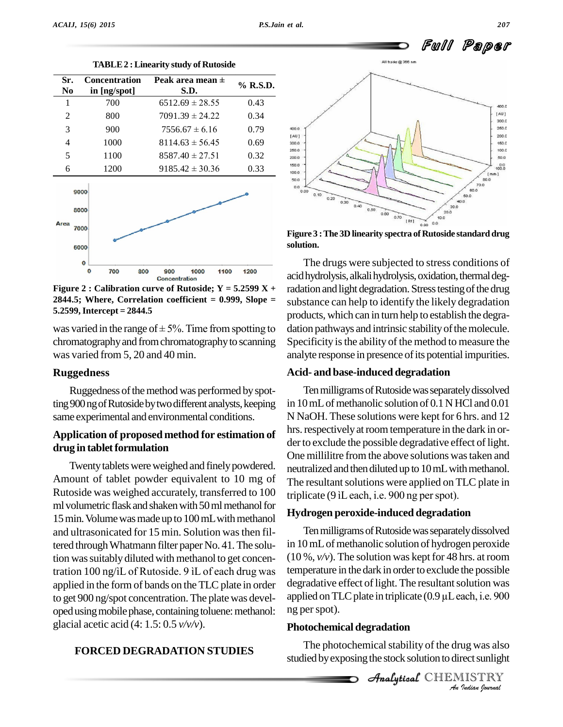50.0

 $2800$ 200.0 150.0 100.0 50.0  $0.0$ 





**Figure** 2 : Calibration curve of Rutoside;  $Y = 5.2599X +$ **2844.5; Where, Correlation coefficient = 0.999, Slope = 5.2599,Intercept = 2844.5**

was varied in the range of  $\pm$  5%. Time from spotting to chromatographyand fromchromatographyto scanning was varied from 5, 20 and 40 min.

#### **Ruggedness**

Ruggedness of the method was performed by spotting 900 ng of Rutoside by two different analysts, keeping same experimental and environmental conditions.

# **Application of proposed method for estimation of**  $drug$  in tablet formulation

Twenty tablets were weighed and finely powdered. Amount of tablet powder equivalent to 10 mg of Rutoside was weighed accurately, transferred to 100 triplicate (9 iL each, i.e. 900 ng per spot). ml volumetric flask and shaken with 50 ml methanol for 15 min. Volume was made up to 100 mL with methanol and ultrasonicated for 15 min. Solution wasthen filtered through Whatmann filter paper No. 41. The solu-<br>tion was suitably diluted with methanol to get concen-<br>tration 100 ng/iL of Rutoside. 9 iL of each drug was temp tion was suitably diluted with methanol to get concenapplied in the form of bands on the TLC plate in order degradative effect of light. The resultant solution was<br>to get 900 ng/spot concentration. The plate was devel-<br>applied on TLC plate in triplicate  $(0.9 \mu L$  each, i.e. to get 900 ng/spot concentration.The plate was devel oped using mobile phase, containing toluene: methanol: glacial acetic acid (4: 1.5: 0.5 *v/v/v*).

# **FORCED DEGRADATION STUDIES**

 $rac{300}{000}$ 70.0 60.0  $0.10$ 50.0  $0.20$  $n \times n$  $40.0$  $0.40$ 30.0  $0.50$  $0.60$  $200$  $0.70$  $10.0$  $IRf1$  $0.0$  $0.90$ 

**Figure**  $3$  **: The 3D linearity spectra of Rutoside standard drug solution.**

The drugs were subjected to stress conditions of acid hydrolysis, alkali hydrolysis, oxidation, thermal degradation and light degradation. Stress testing of the drug substance can help to identify the likely degradation products, which can in turn help to establish the degra dation pathways and intrinsic stability of the molecule. Specificity is the ability of the method to measure the analyte response in presence of its potential impurities.

#### **Acid- and base-induced degradation**

Ten milligrams of Rutoside was separately dissolved in  $10$  mL of methanolic solution of  $0.1$  N HCl and  $0.01$ N NaOH. These solutions were kept for 6 hrs. and 12 hrs. respectively at room temperature in the dark in order to exclude the possible degradative effect of light. One millilitre from the above solutions wastaken and neutralized and then diluted up to 10 mL with methanol.<br>The resultant solutions were applied on TLC plate in<br>triplicate (9 iL each, i.e. 900 ng per spot). The resultant solutions were applied on TLC plate in

# **Hydrogen peroxide-induced degradation**

Ten milligrams of Rutoside was separately dissolved in 10 mL of methanolic solution of hydrogen peroxide (10 %, *v/v*). The solution was kept for 48 hrs. at room temperature in the dark in order to exclude the possible<br>degradative effect of light. The resultant solution was<br>applied on TLC plate in triplicate (0.9 μL each, i.e. 900 degradative effect of light. The resultant solution was ng perspot).

### **Photochemical degradation**

**Ing Was also<br>***I***nct sunlight<br>***I***ndian spurnal** The photochemical stability of the drug was also studied by exposing the stock solution to direct sunlight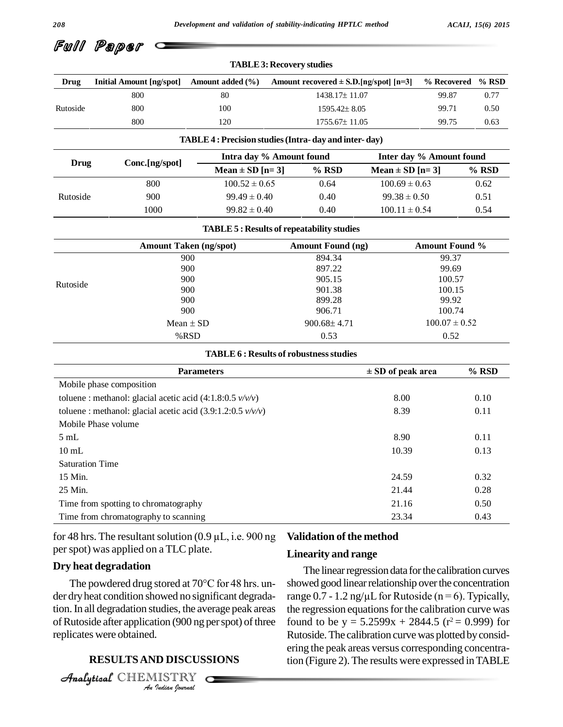Full Paper

|                                                                     |                                                              | <b>TABLE 3: Recovery studies</b>                        |                          |                                            |                       |                          |       |
|---------------------------------------------------------------------|--------------------------------------------------------------|---------------------------------------------------------|--------------------------|--------------------------------------------|-----------------------|--------------------------|-------|
| Drug                                                                | <b>Initial Amount [ng/spot]</b>                              | Amount added (%)                                        |                          | Amount recovered $\pm$ S.D.[ng/spot] [n=3] |                       | % Recovered              | % RSD |
|                                                                     | 800                                                          | 80                                                      |                          | 1438.17±11.07                              |                       | 99.87                    | 0.77  |
| Rutoside                                                            | 800                                                          | 100                                                     |                          | $1595.42 \pm 8.05$                         |                       | 99.71                    | 0.50  |
|                                                                     | 800                                                          | 120                                                     |                          | 1755.67±11.05                              |                       | 99.75                    | 0.63  |
|                                                                     |                                                              | TABLE 4 : Precision studies (Intra- day and inter- day) |                          |                                            |                       |                          |       |
| <b>Drug</b>                                                         | Conc.[ng/spot]                                               |                                                         | Intra day % Amount found |                                            |                       | Inter day % Amount found |       |
|                                                                     |                                                              | Mean $\pm$ SD [n=3]                                     |                          | % RSD                                      | Mean $\pm$ SD [n=3]   |                          | % RSD |
|                                                                     | 800                                                          | $100.52 \pm 0.65$                                       |                          | 0.64                                       | $100.69 \pm 0.63$     |                          | 0.62  |
| Rutoside                                                            | 900                                                          | $99.49 \pm 0.40$                                        |                          | 0.40                                       | $99.38 \pm 0.50$      |                          | 0.51  |
|                                                                     | 1000                                                         | $99.82 \pm 0.40$                                        |                          | 0.40                                       | $100.11 \pm 0.54$     |                          | 0.54  |
|                                                                     |                                                              | <b>TABLE 5: Results of repeatability studies</b>        |                          |                                            |                       |                          |       |
|                                                                     | <b>Amount Taken (ng/spot)</b>                                |                                                         |                          | <b>Amount Found (ng)</b>                   | Amount Found %        |                          |       |
|                                                                     |                                                              | 900                                                     |                          | 894.34                                     |                       | 99.37                    |       |
|                                                                     | 900                                                          |                                                         |                          | 897.22                                     |                       | 99.69                    |       |
| Rutoside                                                            | 900                                                          |                                                         |                          | 905.15                                     | 100.57                |                          |       |
|                                                                     | 900<br>900                                                   |                                                         |                          | 901.38<br>899.28                           | 100.15<br>99.92       |                          |       |
|                                                                     | 900                                                          |                                                         |                          | 906.71                                     | 100.74                |                          |       |
|                                                                     | Mean $\pm$ SD                                                |                                                         |                          | $900.68 \pm 4.71$                          | $100.07 \pm 0.52$     |                          |       |
|                                                                     | %RSD                                                         |                                                         |                          | 0.53                                       | 0.52                  |                          |       |
|                                                                     |                                                              | <b>TABLE 6: Results of robustness studies</b>           |                          |                                            |                       |                          |       |
|                                                                     |                                                              | <b>Parameters</b>                                       |                          |                                            | $\pm$ SD of peak area |                          | % RSD |
|                                                                     | Mobile phase composition                                     |                                                         |                          |                                            |                       |                          |       |
|                                                                     | toluene : methanol: glacial acetic acid (4:1.8:0.5 $v/v/v$ ) |                                                         |                          |                                            | 8.00                  |                          | 0.10  |
| toluene : methanol: glacial acetic acid $(3.9:1.2:0.5 \frac{v}{v})$ |                                                              |                                                         |                          |                                            | 8.39                  |                          | 0.11  |
|                                                                     | Mobile Phase volume                                          |                                                         |                          |                                            |                       |                          |       |
| 5mL                                                                 |                                                              |                                                         |                          |                                            | 8.90                  |                          | 0.11  |
| $10$ mL                                                             |                                                              |                                                         |                          |                                            | 10.39                 |                          | 0.13  |
| <b>Saturation Time</b>                                              |                                                              |                                                         |                          |                                            |                       |                          |       |
| 15 Min.                                                             |                                                              |                                                         |                          |                                            | 24.59                 |                          | 0.32  |
| 25 Min.                                                             |                                                              |                                                         |                          |                                            | 21.44                 |                          | 0.28  |
|                                                                     | Time from spotting to chromatography                         |                                                         |                          |                                            | 21.16                 |                          | 0.50  |
|                                                                     | Time from chromatography to scanning                         |                                                         |                          |                                            | 23.34                 |                          | 0.43  |

for 48 hrs. The resultant solution  $(0.9 \mu L, i.e. 900 \text{ ng})$ per spot) was applied on a TLC plate.

#### **Dry heat degradation**

tion. In all degradation studies, the average peak areas the re **Indian**<br>**ID DISCUS:<br>D DISCUS:<br>IISTRY**  $\frac{1}{2}$  and  $\frac{1}{2}$  and  $\frac{1}{2}$  and  $\frac{1}{2}$  and  $\frac{1}{2}$  are average peak areas the regord) of Rutoside after application (900 ng per spot) of three found The powdered drug stored at <sup>70</sup>°C for <sup>48</sup> hrs. un der dryheat condition showed no significant degradareplicates were obtained.

# **RESULTSAND DISCUSSIONS**

CHEMISTRY

#### **Validation of the method**

#### **Linearity and range**

The linear regression data for the calibration curves showed good linear relationship over the concentration The linear regression data for the calibration curves<br>showed good linear relationship over the concentration<br>range  $0.7 - 1.2$  ng/ $\mu$ L for Rutoside (n = 6). Typically, the regression equations for the calibration curve was found to be  $y = 5.2599x + 2844.5$  ( $r^2 = 0.999$ ) for Rutoside. The calibration curve was plotted by considering the peak areas versus corresponding concentration (Figure 2).The results were expressed inTABLE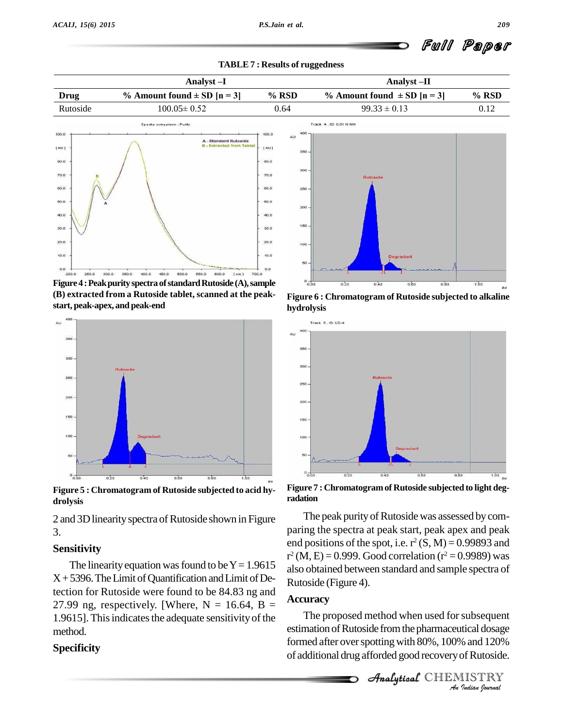



**Figure 4 : Peak purity spectra of standard Rutoside (A), sample (B) extracted from a Rutoside tablet, scanned at the peak start, peak-apex, and peak-end**



**Figure 5 : Chromatogram of Rutoside subjected to acid hy drolysis**

2 and 3D linearity spectra of Rutoside shown in Figure 3.

#### **Sensitivity**

The linearity equation was found to be  $Y = 1.9615$  $X+5396$ . The Limit of Quantification and Limit of Detection for Rutoside were found to be 84.83 ng and 27.99 ng, respectively. [Where,  $N = 16.64$ ,  $B =$ 1.9615]. This indicates the adequate sensitivity of the method.

### **Specificity**

**Figure 6 : Chromatogram of Rutoside subjected to alkaline hydrolysis**



**Figure 7 : Chromatogramof Rutoside subjected to light deg radation**

The peak purity of Rutoside was assessed by comparing the spectra at peak start, peak apex and peak end positions of the spot, i.e.  $r^2(S, M) = 0.99893$  and  $r^2$  (M, E) = 0.999. Good correlation ( $r^2$  = 0.9989) was also obtained between standard and sample spectra of Rutoside (Figure 4).

#### **Accuracy**

The proposed method when used for subsequent *Indian*<br>*Indian I20%*<br>*IISTRY*<br>*IISTRY* estimation of Rutoside from the pharmaceutical dosage formed after over spotting with 80%, 100% and 120% of additional drug afforded good recoveryofRutoside.

**Analytical** CHEMISTRY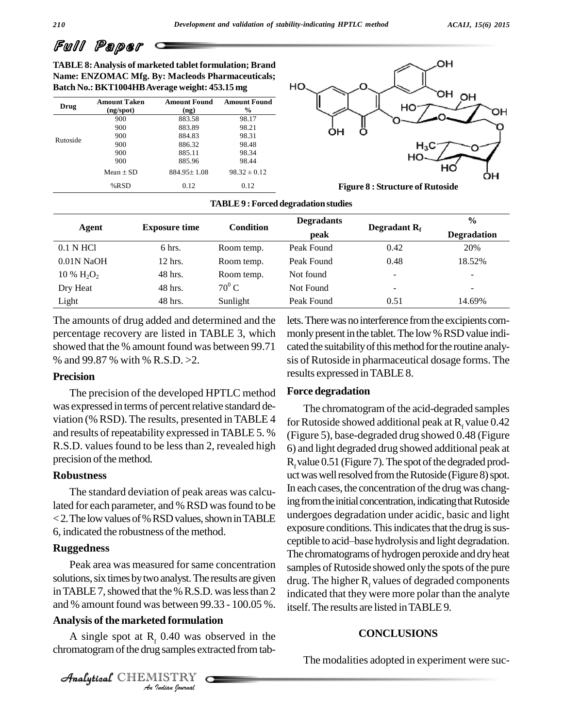Full Paper

**TABLE 8:Analysis of marketed tablet formulation; Brand Name: ENZOMAC Mfg. By: Macleods Pharmaceuticals; Batch No.: BKT1004HBAverage weight: 453.15 mg**

| Drug     | <b>Amount Taken</b><br>(ng/spot) | <b>Amount Found</b><br>(ng) | <b>Amount Found</b><br>% |
|----------|----------------------------------|-----------------------------|--------------------------|
|          | 900                              | 883.58                      | 98.17                    |
| Rutoside | 900                              | 883.89                      | 98.21                    |
|          | 900                              | 884.83                      | 98.31                    |
|          | 900                              | 886.32                      | 98.48                    |
|          | 900                              | 885.11                      | 98.34                    |
|          | 900                              | 885.96                      | 98.44                    |
|          | $Mean + SD$                      | $884.95 \pm 1.08$           | $98.32 \pm 0.12$         |
|          | %RSD                             | 0.12                        | 0.12                     |



**Figure 8 : Structure of Rutoside**

| TABLE 9 : Forced degradation studies |  |
|--------------------------------------|--|
|--------------------------------------|--|

| Agent         | <b>Exposure time</b> | <b>Condition</b> | <b>Degradants</b> |                 | $\frac{0}{0}$            |
|---------------|----------------------|------------------|-------------------|-----------------|--------------------------|
|               |                      |                  | peak              | Degradant $R_f$ | <b>Degradation</b>       |
| 0.1 N HCl     | 6 hrs.               | Room temp.       | Peak Found        | 0.42            | 20%                      |
| $0.01N$ NaOH  | 12 hrs.              | Room temp.       | Peak Found        | 0.48            | 18.52%                   |
| 10 % $H_2O_2$ | 48 hrs.              | Room temp.       | Not found         | -               | $\overline{\phantom{0}}$ |
| Dry Heat      | 48 hrs.              | $70^0 C$         | Not Found         | ۰               | $\overline{\phantom{0}}$ |
| Light         | 48 hrs.              | Sunlight         | Peak Found        | 0.51            | 14.69%                   |

The amounts of drug added and determined and the percentage recovery are listed in TABLE 3, which showed that the % amount found was between 99.71 % and 99.87 % with % R.S.D. >2.

#### **Precision**

The precision of the developed HPTLC method was expressed in terms of percentrelative standard de viation (% RSD). The results, presented inTABLE 4 and results of repeatability expressed inTABLE 5. % R.S.D. values found to be less than 2, revealed high precision of the method.

### **Robustness**

The standard deviation of peak areas was calculated for each parameter, and % RSD was found to be  $<$  2. The low values of % RSD values, shown in TABLE 6, indicated the robustness of the method.

### **Ruggedness**

and % amount found was between 99.33 - 100.05 %. itsel Peak area was measured for same concentration solutions, six times by two analyst. The results are given in TABLE 7, showed that the % R.S.D. was less than 2

# Analytical**Analysis of the marketed formulation**

*Indian by Section 37*<br> *I*<sub>f</sub> 0.40 was controlled by Section<br> *I*<sub>ndian *Iournal*</sub> A single spot at  $R<sub>f</sub>$  0.40 was observed in the chromatogram of the drug samples extracted from tab-

CHEMISTRY

lets. There was no interference from the excipients commonly present in the tablet. The low % RSD value indicated the suitability of this method for the routine analysis ofRutoside in pharmaceutical dosage forms. The results expressed inTABLE 8.

### **Force degradation**

The chromatogram of the acid-degraded samples for Rutoside showed additional peak at  $R_f$  value 0.42 (Figure 5)*,* base-degraded drug showed 0.48 (Figure 6) and light degraded drug showed additional peak at  $R_f$ value 0.51 (Figure 7). The spot of the degraded prod-<br>uct was well resolved from the Rutoside (Figure 8) spot. In each cases, the concentration of the drug was changing from the initial concentration, indicating that Rutoside undergoes degradation under acidic, basic and light<br>exposure conditions. This indicates that the drug is sus-<br>ceptible to acid–base hydrolysis and light degradation. exposure conditions. This indicates that the drug is sus-The chromatograms of hydrogen peroxide and dryheat samples of Rutoside showed only the spots of the pure drug. The higher  $R_f$  values of degraded components indicated that they were more polar than the analyte itself.The results are listed inTABLE9*.*

# **CONCLUSIONS**

The modalities adopted in experiment were suc-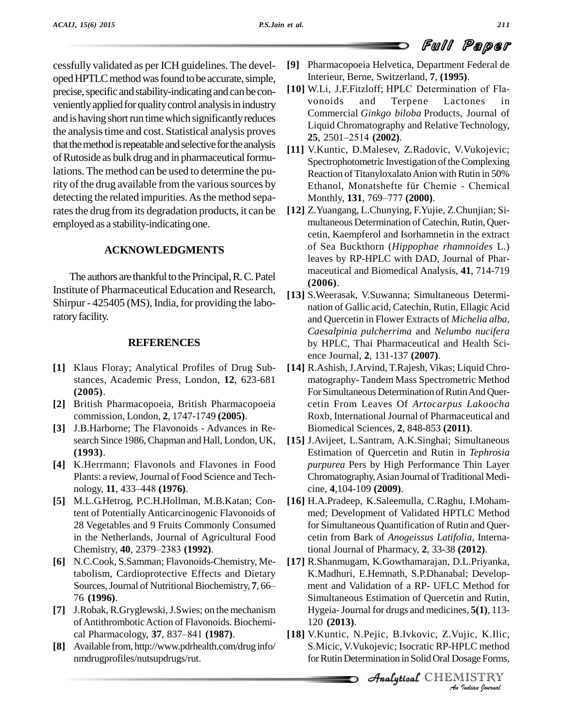cessfully validated as per ICH guidelines. The devel oped HPTLC method was found to be accurate, simple, precise, specific and stability-indicating and can be conveniently applied for quality control analysis in industry vonoids and is having short run time which significantly reduces the analysis time and cost. Statistical analysis proves  $\frac{25,2501-2514}{(2002)}$ . that the method is repeatable and selective for the analysis of Rutoside as bulk drug and in pharmaceutical formulations. The method can be used to determine the purity of the drug available from the various sources by Ethanol, Monatshefte für Chemie - Chemical detecting the related impurities. As the method separates the drug from its degradation products, it can be employed as a stability-indicating one.

# **ACKNOWLEDGMENTS**

The authors are thankful to the Principal, R.C. Patel Institute of Pharmaceutical Education and Research, Shirpur - 425405 (MS), India, for providing the laboratory facility.

# **REFERENCES**

- **[1]** Klaus Floray; Analytical Profiles of Drug Sub stances, Academic Press, London, **12**, 623-681 **(2005)**.
- **[2]** British Pharmacopoeia, British Pharmacopoeia commission, London, **2**, 1747-1749 **(2005)**.
- **[3]** J.B.Harborne; The Flavonoids Advances in Re search Since 1986, Chapman and Hall, London, UK, **(1993)**.
- **[4]** K.Herrmann; Flavonols and Flavones in Food p<br>Plants: a review, Journal of Food Science and Technology, **11**, 433–448 **(1976**). Plants: a review, Journal of Food Science and Tech-
- **[5]** M.L.G.Hetrog, P.C.H.Hollman, M.B.Katan; Content of PotentiallyAnticarcinogenic Flavonoids of 28 Vegetables and 9 Fruits Commonly Consumed<br>
in the Netherlands, Journal of Agricultural Food<br>
Chemistry, **40**, 2379–2383 (**1992**). ti in the Netherlands, Journal of Agricultural Food
- **[6]** N.C.Cook, S.Samman; Flavonoids-Chemistry, Metabolism, Cardioprotective Effects and Dietary Sources, Journal of Nutritional Biochemistry, 7, 66– 76 **(1996)**.
- **[7]** J.Robak, R.Gryglewski, J.Swies; on the mechanism Hygeir of Antithrombotic Action of Flavonoids. Biochemi-<br>cal Pharmacology, **37**, 837–841 **(1987)**. **[18]** V.Kur ofAntithromboticAction of Flavonoids. Biochemi-
- **[8]** Available from, <http://www.pdrhealth.com/drug> info/ nmdrugprofiles/nutsupdrugs/rut.
- **[9]** Pharmacopoeia Helvetica, Department Federal de Interieur, Berne, Switzerland, **7**, **(1995)**.
- [10] W.Li, J.F.Fitzloff; HPLC Determination of Flaand Terpene Lactones in Commercial *Ginkgo biloba* Products, Journal of Liquid Chromatography and Relative Technology, **25**, 2501–2514 **(2002)**.<br>**25**, 2501–2514 **(2002)**.
- **[11]** V.Kuntic, D.Malesev, Z.Radovic, V.Vukojevic; Spectrophotometric Investigation of the Complexing<br>Reaction of Titanyloxalato Anion with Rutin in 50%<br>Ethanol, Monatshefte für Chemie - Chemical Reaction of Titanyloxalato Anion with Rutin in 50%<br>Ethanol, Monatshefte für Chemie - Chemical<br>Monthly, **131**, 769–777 **(2000)**.
- **[12]** Z.Yuangang, L.Chunying, F.Yujie, Z.Chunjian; Si multaneous Determination of Catechin, Rutin, Quercetin, Kaempferol and Isorhamnetin in the extract of Sea Buckthorn (*Hippophae rhamnoides* L.) leaves by RP-HPLC with DAD, Journal of Phar maceutical and Biomedical Analysis, **41**, 714-719 **(2006)**.
- **[13]** S.Weerasak, V.Suwanna; Simultaneous Determi nation of Gallic acid, Catechin, Rutin, Ellagic Acid and Quercetin in Flower Extracts of *Michelia alba*, *Caesalpinia pulcherrima* and *Nelumbo nucifera* by HPLC*,* Thai Pharmaceutical and Health Sci ence Journal, **2**, 131-137 **(2007)**.
- **[14]** R.Ashish,J.Arvind, T.Rajesh, Vikas; Liquid Chro matography- Tandem Mass Spectrometric Method For Simultaneous Determination of Rutin And Quercetin From Leaves Of *Artocarpus Lakoocha* Roxb, International Journal of Pharmaceutical and Biomedical Sciences, **2**, 848-853 **(2011)**.
- **[15]** J.Avijeet, L.Santram, A.K.Singhai; Simultaneous Estimation of Quercetin and Rutin in *Tephrosia purpurea* Pers by High Performance Thin Layer Chromatography, Asian Journal of Traditional Medicine, **4**,104-109 **(2009)**.
- **[16]** H.A.Pradeep, K.Saleemulla, C.Raghu, I.Moham med; Development of Validated HPTLC Method for Simultaneous Quantification of Rutin and Quer cetin from Bark of *Anogeissus Latifolia*, International Journal of Pharmacy, **2**, 33-38 **(2012)**.
- $\text{Hygeia-Journal for drugs and medicines}, \mathbf{5(1)}, 113-120$ **[17]** R.Shanmugam, K.Gowthamarajan, D.L.Priyanka, K.Madhuri, E.Hemnath, S.P.Dhanabal; Develop ment and Validation of a RP- UFLC Method for Simultaneous Estimation of Quercetin and Rutin, 120 **(2013)**.
- <sup>2</sup><br>19 Jic, K.Ilic,<br>PLC method<br>9 Sage Forms,<br>IISTRY **[18]** V.Kuntic, N.Pejic, B.Ivkovic, Z.Vujic, K.Ilic, S.Micic, V.Vukojevic; Isocratic RP-HPLC method for Rutin Determination in Solid Oral Dosage Forms,

Analytical CHEMISTRY